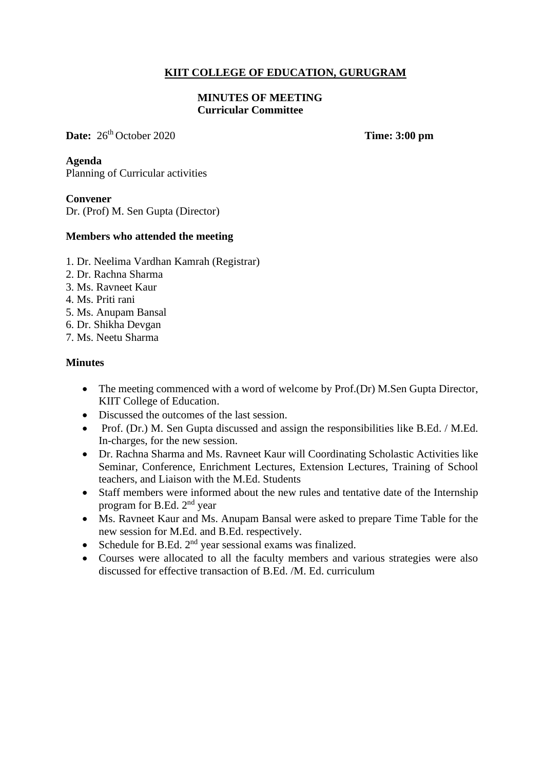# **KIIT COLLEGE OF EDUCATION, GURUGRAM**

### **MINUTES OF MEETING Curricular Committee**

**Date:**  $26^{th}$  October 2020 **Time:** 3:00 pm

**Agenda** Planning of Curricular activities

### **Convener**

Dr. (Prof) M. Sen Gupta (Director)

### **Members who attended the meeting**

- 1. Dr. Neelima Vardhan Kamrah (Registrar)
- 2. Dr. Rachna Sharma
- 3. Ms. Ravneet Kaur
- 4. Ms. Priti rani
- 5. Ms. Anupam Bansal
- 6. Dr. Shikha Devgan
- 7. Ms. Neetu Sharma

### **Minutes**

- The meeting commenced with a word of welcome by Prof.(Dr) M.Sen Gupta Director, KIIT College of Education.
- Discussed the outcomes of the last session.
- Prof. (Dr.) M. Sen Gupta discussed and assign the responsibilities like B.Ed. / M.Ed. In-charges, for the new session.
- Dr. Rachna Sharma and Ms. Ravneet Kaur will Coordinating Scholastic Activities like Seminar, Conference, Enrichment Lectures, Extension Lectures, Training of School teachers, and Liaison with the M.Ed. Students
- Staff members were informed about the new rules and tentative date of the Internship program for B.Ed. 2<sup>nd</sup> year
- Ms. Ravneet Kaur and Ms. Anupam Bansal were asked to prepare Time Table for the new session for M.Ed. and B.Ed. respectively.
- Schedule for B.Ed.  $2<sup>nd</sup>$  year sessional exams was finalized.
- Courses were allocated to all the faculty members and various strategies were also discussed for effective transaction of B.Ed. /M. Ed. curriculum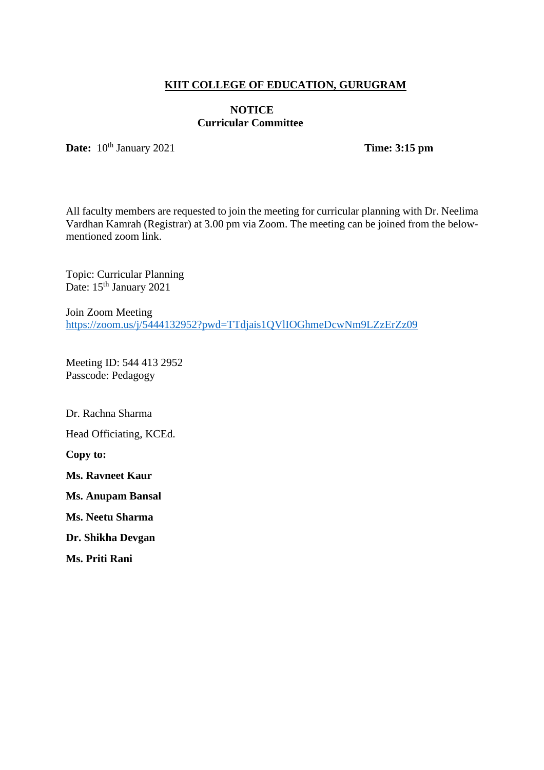## **KIIT COLLEGE OF EDUCATION, GURUGRAM**

### **NOTICE Curricular Committee**

Date:  $10^{\text{th}}$  January 2021

**Time: 3:15** pm

All faculty members are requested to join the meeting for curricular planning with Dr. Neelima Vardhan Kamrah (Registrar) at 3.00 pm via Zoom. The meeting can be joined from the belowmentioned zoom link.

Topic: Curricular Planning Date: 15<sup>th</sup> January 2021

Join Zoom Meeting <https://zoom.us/j/5444132952?pwd=TTdjais1QVlIOGhmeDcwNm9LZzErZz09>

Meeting ID: 544 413 2952 Passcode: Pedagogy

Dr. Rachna Sharma Head Officiating, KCEd. **Copy to: Ms. Ravneet Kaur Ms. Anupam Bansal Ms. Neetu Sharma Dr. Shikha Devgan**

**Ms. Priti Rani**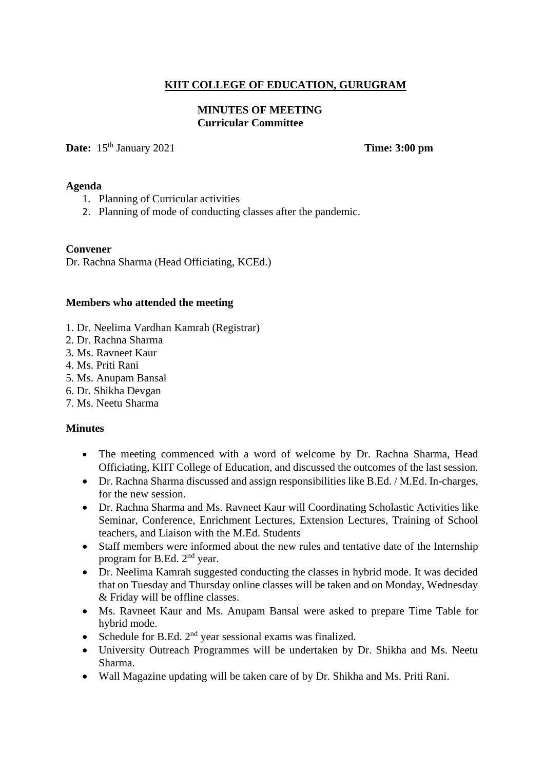# **KIIT COLLEGE OF EDUCATION, GURUGRAM**

## **MINUTES OF MEETING Curricular Committee**

Date: 15<sup>th</sup> January 2021

**Time: 3:00 pm** 

### **Agenda**

- 1. Planning of Curricular activities
- 2. Planning of mode of conducting classes after the pandemic.

### **Convener**

Dr. Rachna Sharma (Head Officiating, KCEd.)

### **Members who attended the meeting**

- 1. Dr. Neelima Vardhan Kamrah (Registrar)
- 2. Dr. Rachna Sharma
- 3. Ms. Ravneet Kaur
- 4. Ms. Priti Rani
- 5. Ms. Anupam Bansal
- 6. Dr. Shikha Devgan
- 7. Ms. Neetu Sharma

### **Minutes**

- The meeting commenced with a word of welcome by Dr. Rachna Sharma, Head Officiating, KIIT College of Education, and discussed the outcomes of the last session.
- Dr. Rachna Sharma discussed and assign responsibilities like B.Ed. / M.Ed. In-charges, for the new session.
- Dr. Rachna Sharma and Ms. Ravneet Kaur will Coordinating Scholastic Activities like Seminar, Conference, Enrichment Lectures, Extension Lectures, Training of School teachers, and Liaison with the M.Ed. Students
- Staff members were informed about the new rules and tentative date of the Internship program for B.Ed. 2<sup>nd</sup> year.
- Dr. Neelima Kamrah suggested conducting the classes in hybrid mode. It was decided that on Tuesday and Thursday online classes will be taken and on Monday, Wednesday & Friday will be offline classes.
- Ms. Ravneet Kaur and Ms. Anupam Bansal were asked to prepare Time Table for hybrid mode.
- Schedule for B.Ed.  $2<sup>nd</sup>$  year sessional exams was finalized.
- University Outreach Programmes will be undertaken by Dr. Shikha and Ms. Neetu Sharma.
- Wall Magazine updating will be taken care of by Dr. Shikha and Ms. Priti Rani.